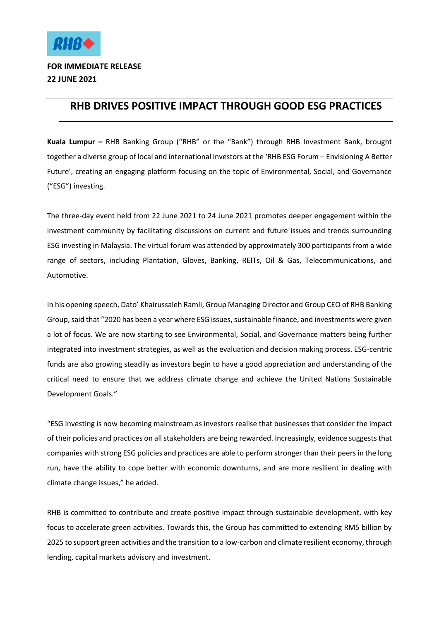

## **RHB DRIVES POSITIVE IMPACT THROUGH GOOD ESG PRACTICES**

**Kuala Lumpur –** RHB Banking Group ("RHB" or the "Bank") through RHB Investment Bank, brought together a diverse group of local and international investors at the 'RHB ESG Forum – Envisioning A Better Future', creating an engaging platform focusing on the topic of Environmental, Social, and Governance ("ESG") investing.

The three-day event held from 22 June 2021 to 24 June 2021 promotes deeper engagement within the investment community by facilitating discussions on current and future issues and trends surrounding ESG investing in Malaysia. The virtual forum was attended by approximately 300 participants from a wide range of sectors, including Plantation, Gloves, Banking, REITs, Oil & Gas, Telecommunications, and Automotive.

In his opening speech, Dato' Khairussaleh Ramli, Group Managing Director and Group CEO of RHB Banking Group, said that "2020 has been a year where ESG issues, sustainable finance, and investments were given a lot of focus. We are now starting to see Environmental, Social, and Governance matters being further integrated into investment strategies, as well as the evaluation and decision making process. ESG-centric funds are also growing steadily as investors begin to have a good appreciation and understanding of the critical need to ensure that we address climate change and achieve the United Nations Sustainable Development Goals."

"ESG investing is now becoming mainstream as investors realise that businesses that consider the impact of their policies and practices on all stakeholders are being rewarded. Increasingly, evidence suggests that companies with strong ESG policies and practices are able to perform stronger than their peers in the long run, have the ability to cope better with economic downturns, and are more resilient in dealing with climate change issues," he added.

RHB is committed to contribute and create positive impact through sustainable development, with key focus to accelerate green activities. Towards this, the Group has committed to extending RM5 billion by 2025 to support green activities and the transition to a low-carbon and climate resilient economy, through lending, capital markets advisory and investment.